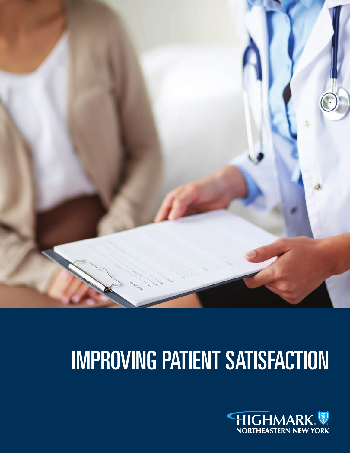

# IMPROVING PATIENT SATISFACTION

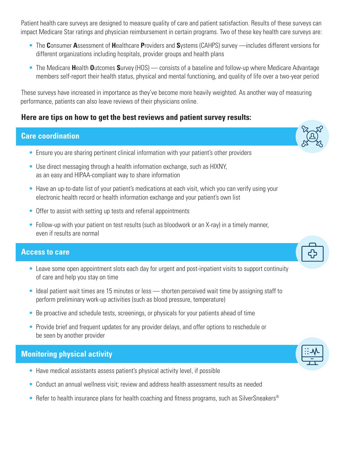Patient health care surveys are designed to measure quality of care and patient satisfaction. Results of these surveys can impact Medicare Star ratings and physician reimbursement in certain programs. Two of these key health care surveys are:

- The **C**onsumer **A**ssessment of **H**ealthcare **P**roviders and **S**ystems (CAHPS) survey —includes different versions for different organizations including hospitals, provider groups and health plans
- The Medicare **H**ealth **O**utcomes **S**urvey (HOS) consists of a baseline and follow-up where Medicare Advantage members self-report their health status, physical and mental functioning, and quality of life over a two-year period

These surveys have increased in importance as they've become more heavily weighted. As another way of measuring performance, patients can also leave reviews of their physicians online.

### **Here are tips on how to get the best reviews and patient survey results:**

#### **Care coordination**

- Ensure you are sharing pertinent clinical information with your patient's other providers
- Use direct messaging through a health information exchange, such as HIXNY, as an easy and HIPAA-compliant way to share information
- Have an up-to-date list of your patient's medications at each visit, which you can verify using your electronic health record or health information exchange and your patient's own list
- Offer to assist with setting up tests and referral appointments
- Follow-up with your patient on test results (such as bloodwork or an X-ray) in a timely manner, even if results are normal

### **Access to care**

- Leave some open appointment slots each day for urgent and post-inpatient visits to support continuity of care and help you stay on time
- Ideal patient wait times are 15 minutes or less shorten perceived wait time by assigning staff to perform preliminary work-up activities (such as blood pressure, temperature)
- Be proactive and schedule tests, screenings, or physicals for your patients ahead of time
- Provide brief and frequent updates for any provider delays, and offer options to reschedule or be seen by another provider

## **Monitoring physical activity**

- Have medical assistants assess patient's physical activity level, if possible
- Conduct an annual wellness visit; review and address health assessment results as needed
- Refer to health insurance plans for health coaching and fitness programs, such as SilverSneakers®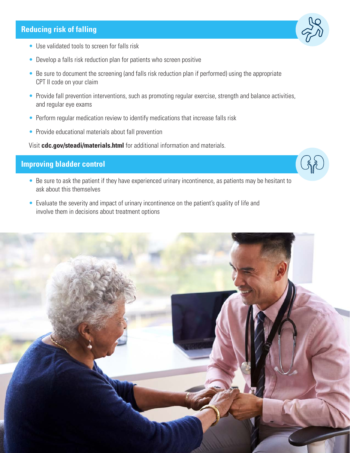#### **Reducing risk of falling**

- Use validated tools to screen for falls risk
- Develop a falls risk reduction plan for patients who screen positive
- Be sure to document the screening (and falls risk reduction plan if performed) using the appropriate CPT II code on your claim
- Provide fall prevention interventions, such as promoting regular exercise, strength and balance activities, and regular eye exams
- Perform regular medication review to identify medications that increase falls risk
- Provide educational materials about fall prevention

Visit **cdc.gov/steadi/materials.html** for additional information and materials.

### **Improving bladder control**

- Be sure to ask the patient if they have experienced urinary incontinence, as patients may be hesitant to ask about this themselves
- Evaluate the severity and impact of urinary incontinence on the patient's quality of life and involve them in decisions about treatment options